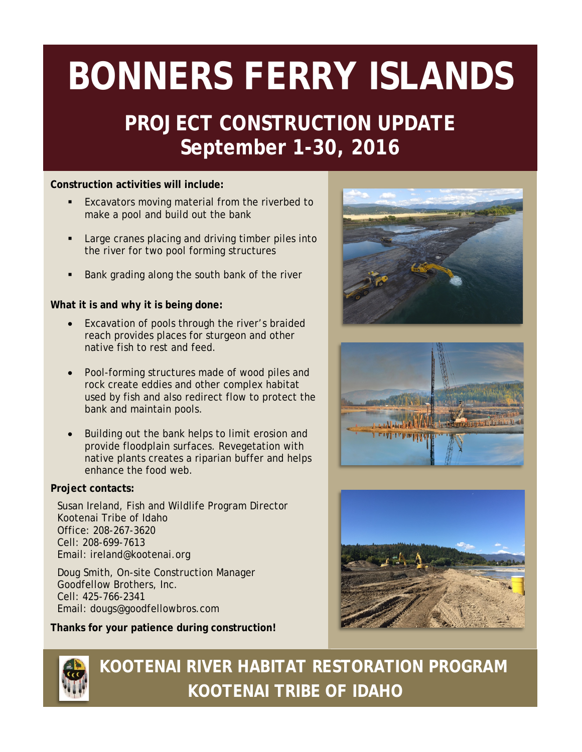# **BONNERS FERRY ISLANDS**

### **PROJECT CONSTRUCTION UPDATE September 1-30, 2016**

#### **Construction activities will include:**

- Excavators moving material from the riverbed to make a pool and build out the bank
- Large cranes placing and driving timber piles into the river for two pool forming structures
- Bank grading along the south bank of the river

#### **What it is and why it is being done:**

- Excavation of pools through the river's braided reach provides places for sturgeon and other native fish to rest and feed.
- Pool-forming structures made of wood piles and rock create eddies and other complex habitat used by fish and also redirect flow to protect the bank and maintain pools.
- Building out the bank helps to limit erosion and provide floodplain surfaces. Revegetation with native plants creates a riparian buffer and helps enhance the food web.

#### **Project contacts:**

Susan Ireland, Fish and Wildlife Program Director Kootenai Tribe of Idaho Office: 208-267-3620 Cell: 208-699-7613 Email: [ireland@kootenai.org](mailto:ireland@kootenai.org)

Doug Smith, On-site Construction Manager Goodfellow Brothers, Inc. Cell: 425-766-2341 Email: [dougs@goodfellowbros.com](mailto:dougs@goodfellowbros.com)

**Thanks for your patience during construction!**









 **KOOTENAI RIVER HABITAT RESTORATION PROGRAM KOOTENAI TRIBE OF IDAHO**